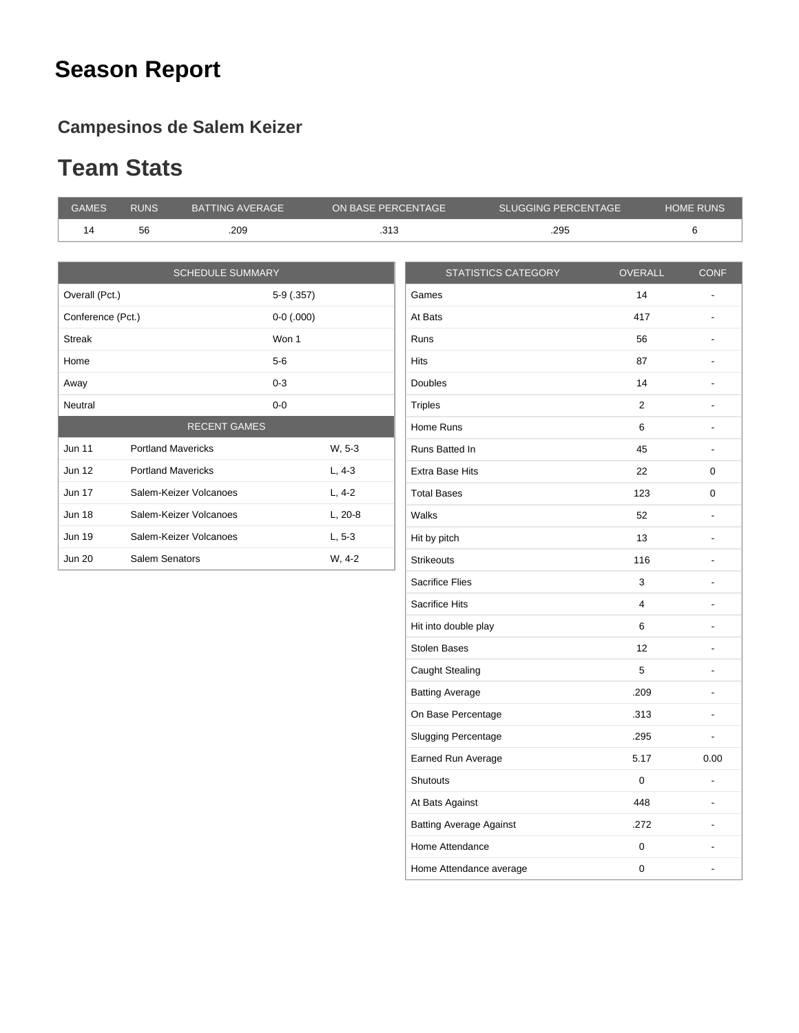## **Season Report**

#### **Campesinos de Salem Keizer**

#### **Team Stats**

| <b>GAMES</b>      | <b>RUNS</b>               | <b>BATTING AVERAGE</b>  | ON BASE PERCENTAGE |                        | <b>SLUGGING PERCENTAGE</b> |                | HOME RUNS |
|-------------------|---------------------------|-------------------------|--------------------|------------------------|----------------------------|----------------|-----------|
| 14                | 56                        | .209                    | .313               |                        | .295                       |                |           |
|                   |                           |                         |                    |                        |                            |                |           |
|                   |                           | <b>SCHEDULE SUMMARY</b> |                    |                        | <b>STATISTICS CATEGORY</b> | <b>OVERALL</b> |           |
| Overall (Pct.)    |                           | $5-9(.357)$             |                    | Games                  |                            | 14             |           |
| Conference (Pct.) |                           | $0-0$ (.000)            |                    | At Bats                |                            | 417            |           |
| <b>Streak</b>     |                           | Won 1                   |                    | Runs                   |                            | 56             |           |
| Home              |                           | $5-6$                   |                    | <b>Hits</b>            |                            | 87             |           |
| Away              |                           | $0 - 3$                 |                    | <b>Doubles</b>         |                            | 14             |           |
| Neutral           |                           | $0-0$                   |                    | <b>Triples</b>         |                            | $\overline{2}$ |           |
|                   |                           | <b>RECENT GAMES</b>     |                    | Home Runs              |                            | 6              |           |
| <b>Jun 11</b>     | <b>Portland Mavericks</b> |                         | W, 5-3             | Runs Batted In         |                            | 45             |           |
| Jun 12            | <b>Portland Mavericks</b> |                         | $L, 4-3$           | <b>Extra Base Hits</b> |                            | 22             |           |
| Jun 17            | Salem-Keizer Volcanoes    |                         | $L, 4-2$           | <b>Total Bases</b>     |                            | 123            |           |
| <b>Jun 18</b>     | Salem-Keizer Volcanoes    |                         | $L, 20-8$          | Walks                  |                            | 52             |           |
| <b>Jun 19</b>     | Salem-Keizer Volcanoes    |                         | $L, 5-3$           | Hit by pitch           |                            | 13             |           |
| <b>Jun 20</b>     | Salem Senators            |                         | W, 4-2             | <b>Strikeouts</b>      |                            | 116            |           |
|                   |                           |                         |                    | <b>Sacrifice Flies</b> |                            | 3              |           |
|                   |                           |                         |                    | <b>Sacrifice Hits</b>  |                            | 4              |           |
|                   |                           |                         |                    |                        |                            |                |           |

| <b>Hits</b>                    | 87                      |                              |
|--------------------------------|-------------------------|------------------------------|
| Doubles                        | 14                      |                              |
| <b>Triples</b>                 | 2                       |                              |
| Home Runs                      | 6                       |                              |
| Runs Batted In                 | 45                      | $\qquad \qquad \blacksquare$ |
| <b>Extra Base Hits</b>         | 22                      | 0                            |
| <b>Total Bases</b>             | 123                     | 0                            |
| Walks                          | 52                      |                              |
| Hit by pitch                   | 13                      |                              |
| <b>Strikeouts</b>              | 116                     |                              |
| <b>Sacrifice Flies</b>         | 3                       |                              |
| <b>Sacrifice Hits</b>          | $\overline{\mathbf{4}}$ |                              |
| Hit into double play           | 6                       |                              |
| <b>Stolen Bases</b>            | 12                      |                              |
| Caught Stealing                | 5                       |                              |
| <b>Batting Average</b>         | .209                    |                              |
| On Base Percentage             | .313                    |                              |
| <b>Slugging Percentage</b>     | .295                    |                              |
| Earned Run Average             | 5.17                    | 0.00                         |
| <b>Shutouts</b>                | 0                       | ٠                            |
| At Bats Against                | 448                     |                              |
| <b>Batting Average Against</b> | .272                    |                              |
| Home Attendance                | 0                       |                              |
| Home Attendance average        | 0                       |                              |
|                                |                         |                              |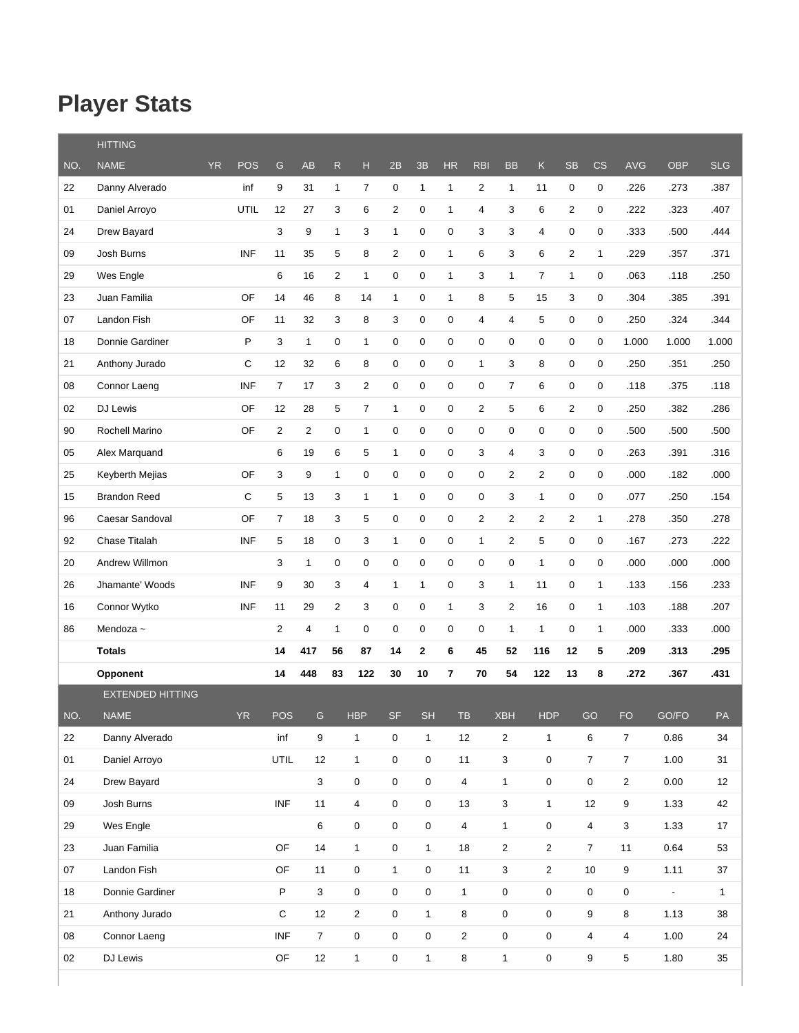# **Player Stats**

|     | <b>HITTING</b>          |     |            |                |                |                |                |                     |                     |                |                |                         |                         |                |                          |                     |                          |              |
|-----|-------------------------|-----|------------|----------------|----------------|----------------|----------------|---------------------|---------------------|----------------|----------------|-------------------------|-------------------------|----------------|--------------------------|---------------------|--------------------------|--------------|
| NO. | <b>NAME</b>             | YR. | <b>POS</b> | ${\mathsf G}$  | <b>AB</b>      | $\mathsf{R}$   | н              | 2B                  | 3B                  | <b>HR</b>      | <b>RBI</b>     | <b>BB</b>               | K.                      | <b>SB</b>      | $\mathsf{CS}\phantom{0}$ | <b>AVG</b>          | <b>OBP</b>               | <b>SLG</b>   |
| 22  | Danny Alverado          |     | inf        | 9              | 31             | $\mathbf{1}$   | 7              | 0                   | $\mathbf{1}$        | $\mathbf{1}$   | $\overline{2}$ | $\mathbf{1}$            | 11                      | 0              | 0                        | .226                | .273                     | .387         |
| 01  | Daniel Arroyo           |     | UTIL       | 12             | 27             | 3              | 6              | $\overline{c}$      | 0                   | $\mathbf{1}$   | 4              | 3                       | 6                       | 2              | 0                        | .222                | .323                     | .407         |
| 24  | Drew Bayard             |     |            | 3              | 9              | $\mathbf{1}$   | 3              | $\mathbf{1}$        | $\pmb{0}$           | 0              | 3              | 3                       | $\overline{4}$          | $\pmb{0}$      | 0                        | .333                | .500                     | .444         |
| 09  | Josh Burns              |     | <b>INF</b> | 11             | 35             | 5              | 8              | 2                   | $\pmb{0}$           | $\mathbf{1}$   | 6              | 3                       | 6                       | 2              | $\mathbf{1}$             | .229                | .357                     | .371         |
| 29  | Wes Engle               |     |            | 6              | 16             | 2              | $\mathbf{1}$   | 0                   | $\pmb{0}$           | $\mathbf{1}$   | 3              | $\mathbf{1}$            | $\overline{7}$          | 1              | 0                        | .063                | .118                     | .250         |
| 23  | Juan Familia            |     | OF         | 14             | 46             | 8              | 14             | 1                   | 0                   | $\mathbf{1}$   | 8              | 5                       | 15                      | 3              | 0                        | .304                | .385                     | .391         |
| 07  | Landon Fish             |     | OF         | 11             | 32             | 3              | 8              | 3                   | $\mathbf 0$         | $\mathbf 0$    | 4              | 4                       | 5                       | 0              | 0                        | .250                | .324                     | .344         |
| 18  | Donnie Gardiner         |     | P          | 3              | $\mathbf{1}$   | $\mathbf 0$    | $\mathbf{1}$   | 0                   | 0                   | 0              | 0              | 0                       | 0                       | 0              | 0                        | 1.000               | 1.000                    | 1.000        |
| 21  | Anthony Jurado          |     | C          | 12             | 32             | $\,6$          | 8              | 0                   | $\mathbf 0$         | 0              | $\mathbf{1}$   | 3                       | 8                       | 0              | 0                        | .250                | .351                     | .250         |
| 08  | Connor Laeng            |     | <b>INF</b> | $\overline{7}$ | 17             | 3              | $\overline{2}$ | 0                   | $\mathbf 0$         | $\mathbf 0$    | 0              | $\overline{7}$          | 6                       | 0              | 0                        | .118                | .375                     | .118         |
| 02  | DJ Lewis                |     | OF         | 12             | 28             | 5              | $\overline{7}$ | 1                   | 0                   | 0              | 2              | 5                       | 6                       | 2              | 0                        | .250                | .382                     | .286         |
| 90  | Rochell Marino          |     | OF         | $\overline{2}$ | $\overline{2}$ | $\mathbf 0$    | $\mathbf{1}$   | 0                   | $\mathbf 0$         | 0              | 0              | 0                       | $\pmb{0}$               | 0              | 0                        | .500                | .500                     | .500         |
| 05  | Alex Marquand           |     |            | 6              | 19             | $\,6$          | 5              | $\mathbf{1}$        | $\pmb{0}$           | 0              | 3              | 4                       | 3                       | 0              | 0                        | .263                | .391                     | .316         |
| 25  | Keyberth Mejias         |     | OF         | 3              | 9              | $\mathbf{1}$   | 0              | 0                   | $\boldsymbol{0}$    | 0              | 0              | 2                       | $\overline{2}$          | 0              | 0                        | .000                | .182                     | .000         |
| 15  | <b>Brandon Reed</b>     |     | C          | 5              | 13             | 3              | 1              | 1                   | 0                   | 0              | 0              | 3                       | $\mathbf{1}$            | 0              | 0                        | .077                | .250                     | .154         |
| 96  | Caesar Sandoval         |     | OF         | $\overline{7}$ | 18             | 3              | 5              | 0                   | 0                   | 0              | 2              | $\overline{2}$          | $\overline{c}$          | $\overline{2}$ | $\mathbf{1}$             | .278                | .350                     | .278         |
| 92  | Chase Titalah           |     | <b>INF</b> | 5              | 18             | $\mathbf 0$    | 3              | 1                   | $\mathbf 0$         | 0              | 1              | $\overline{2}$          | 5                       | 0              | 0                        | .167                | .273                     | .222         |
| 20  | Andrew Willmon          |     |            | 3              | $\mathbf{1}$   | $\pmb{0}$      | 0              | 0                   | $\mathbf 0$         | 0              | 0              | 0                       | $\mathbf{1}$            | 0              | 0                        | .000                | .000                     | .000         |
| 26  | Jhamante' Woods         |     | <b>INF</b> | 9              | 30             | 3              | 4              | $\mathbf{1}$        | $\mathbf{1}$        | 0              | 3              | 1                       | 11                      | 0              | $\mathbf{1}$             | .133                | .156                     | .233         |
| 16  | Connor Wytko            |     | <b>INF</b> | 11             | 29             | $\overline{2}$ | 3              | 0                   | $\mathbf 0$         | $\mathbf{1}$   | 3              | $\overline{c}$          | 16                      | 0              | $\mathbf{1}$             | .103                | .188                     | .207         |
| 86  | Mendoza ~               |     |            | $\overline{c}$ | 4              | $\mathbf{1}$   | 0              | 0                   | $\pmb{0}$           | 0              | 0              | $\mathbf{1}$            | $\mathbf{1}$            | 0              | $\mathbf{1}$             | .000                | .333                     | .000         |
|     | <b>Totals</b>           |     |            | 14             | 417            | 56             | 87             | 14                  | $\mathbf 2$         | 6              | 45             | 52                      | 116                     | 12             | 5                        | .209                | .313                     | .295         |
|     | <b>Opponent</b>         |     |            | 14             | 448            | 83             | 122            | 30                  | 10                  | 7              | 70             | 54                      | 122                     | 13             | 8                        | .272                | .367                     | .431         |
|     | <b>EXTENDED HITTING</b> |     |            |                |                |                |                |                     |                     |                |                |                         |                         |                |                          |                     |                          |              |
| NO. | <b>NAME</b>             |     | <b>YR</b>  | POS            | G              |                | <b>HBP</b>     | <b>SF</b>           | <b>SH</b>           | <b>TB</b>      |                | <b>XBH</b>              | <b>HDP</b>              |                | GO                       | <b>FO</b>           | GO/FO                    | PA           |
| 22  | Danny Alverado          |     |            | inf            | 9              |                | $\mathbf{1}$   | $\mathsf{O}\xspace$ | $\mathbf{1}$        | $12$           |                | $\overline{\mathbf{c}}$ | $\mathbf{1}$            |                | 6                        | $\overline{7}$      | 0.86                     | 34           |
| 01  | Daniel Arroyo           |     |            | UTIL           | 12             |                | $\mathbf{1}$   | $\mathsf{O}\xspace$ | $\mathsf 0$         | 11             |                | 3                       | $\pmb{0}$               |                | $\overline{7}$           | $\overline{7}$      | 1.00                     | 31           |
| 24  | Drew Bayard             |     |            |                | 3              |                | 0              | $\mathsf{O}\xspace$ | 0                   | $\overline{4}$ |                | $\mathbf{1}$            | $\pmb{0}$               |                | 0                        | $\overline{2}$      | 0.00                     | 12           |
| 09  | Josh Burns              |     |            | <b>INF</b>     | 11             |                | 4              | $\mathsf{O}\xspace$ | $\mathsf{O}\xspace$ | 13             |                | 3                       | $\mathbf{1}$            |                | 12                       | $\boldsymbol{9}$    | 1.33                     | 42           |
| 29  | Wes Engle               |     |            |                | 6              |                | 0              | $\mathbf 0$         | 0                   | $\overline{4}$ |                | $\mathbf{1}$            | $\pmb{0}$               |                | $\overline{4}$           | $\mathbf 3$         | 1.33                     | 17           |
| 23  | Juan Familia            |     |            | OF             | 14             |                | $\mathbf{1}$   | $\mathsf{O}\xspace$ | $\mathbf{1}$        | 18             |                | $\overline{2}$          | $\overline{\mathbf{c}}$ |                | $\overline{7}$           | 11                  | 0.64                     | 53           |
| 07  | Landon Fish             |     |            | OF             | 11             |                | 0              | $\mathbf{1}$        | 0                   | 11             |                | 3                       | $\overline{c}$          |                | 10                       | 9                   | 1.11                     | 37           |
| 18  | Donnie Gardiner         |     |            | $\mathsf P$    | 3              |                | 0              | $\mathsf{O}\xspace$ | $\mathsf 0$         | $\mathbf{1}$   |                | $\pmb{0}$               | $\pmb{0}$               |                | $\mathsf 0$              | $\mathsf{O}\xspace$ | $\overline{\phantom{a}}$ | $\mathbf{1}$ |
| 21  | Anthony Jurado          |     |            | $\mathbf C$    | 12             |                | $\overline{2}$ | $\mathsf{O}\xspace$ | $\mathbf{1}$        | $\bf 8$        |                | 0                       | $\pmb{0}$               |                | 9                        | $\bf 8$             | 1.13                     | 38           |
| 08  | Connor Laeng            |     |            | <b>INF</b>     | $\overline{7}$ |                | 0              | $\mathsf{O}\xspace$ | $\mathsf{O}\xspace$ | $\sqrt{2}$     |                | 0                       | 0                       |                | $\overline{\mathbf{4}}$  | $\overline{4}$      | 1.00                     | 24           |
| 02  | DJ Lewis                |     |            | OF             | 12             |                | $\mathbf{1}$   | $\pmb{0}$           | $\mathbf{1}$        | 8              |                | $\mathbf{1}$            | $\pmb{0}$               |                | 9                        | 5                   | 1.80                     | 35           |
|     |                         |     |            |                |                |                |                |                     |                     |                |                |                         |                         |                |                          |                     |                          |              |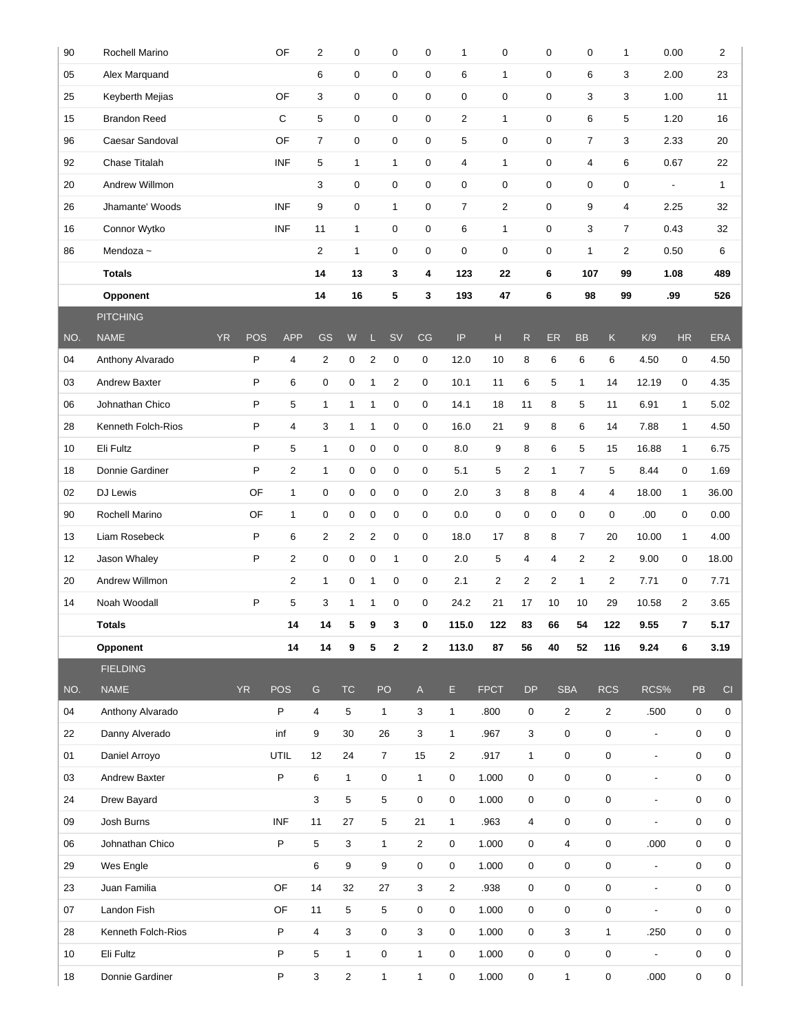| 90  | Rochell Marino       |                         | OF                      | $\overline{2}$ | $\pmb{0}$      |                | $\pmb{0}$           | 0              | $\mathbf{1}$   | 0              |                | $\mathbf 0$    | $\mathbf 0$    | $\mathbf{1}$   |                          | 0.00             | $\overline{\mathbf{c}}$ |
|-----|----------------------|-------------------------|-------------------------|----------------|----------------|----------------|---------------------|----------------|----------------|----------------|----------------|----------------|----------------|----------------|--------------------------|------------------|-------------------------|
| 05  | Alex Marquand        |                         |                         | 6              | 0              |                | 0                   | 0              | 6              | $\mathbf{1}$   |                | $\pmb{0}$      | 6              | 3              |                          | 2.00             | 23                      |
| 25  | Keyberth Mejias      |                         | OF                      | 3              | 0              |                | 0                   | 0              | $\mathbf 0$    | 0              |                | 0              | 3              | 3              |                          | 1.00             | 11                      |
| 15  | <b>Brandon Reed</b>  |                         | С                       | 5              | 0              |                | $\mathsf{O}\xspace$ | 0              | $\overline{c}$ | $\mathbf{1}$   |                | 0              | 6              | 5              |                          | 1.20             | 16                      |
| 96  | Caesar Sandoval      |                         | OF                      | $\overline{7}$ | 0              |                | 0                   | 0              | 5              | 0              |                | 0              | $\overline{7}$ | 3              |                          | 2.33             | 20                      |
| 92  | Chase Titalah        |                         | <b>INF</b>              | 5              | $\mathbf{1}$   |                | $\mathbf{1}$        | 0              | $\overline{4}$ | $\mathbf{1}$   |                | 0              | 4              | 6              |                          | 0.67             | 22                      |
| 20  | Andrew Willmon       |                         |                         | 3              | 0              |                | 0                   | 0              | 0              | 0              |                | 0              | $\mathbf 0$    | 0              | $\overline{\phantom{a}}$ |                  | 1                       |
| 26  | Jhamante' Woods      |                         | <b>INF</b>              | 9              | 0              |                | $\mathbf{1}$        | 0              | $\overline{7}$ | $\overline{2}$ |                | 0              | 9              | $\overline{4}$ |                          | 2.25             | 32                      |
| 16  | Connor Wytko         |                         | <b>INF</b>              | 11             | $\mathbf{1}$   |                | 0                   | 0              | 6              | $\mathbf{1}$   |                | 0              | 3              | $\overline{7}$ |                          | 0.43             | 32                      |
| 86  | Mendoza ~            |                         |                         | $\overline{2}$ | $\mathbf{1}$   |                | 0                   | 0              | 0              | 0              |                | 0              | $\mathbf{1}$   | $\overline{2}$ |                          | 0.50             | 6                       |
|     | <b>Totals</b>        |                         |                         | 14             | 13             |                | 3                   | 4              | 123            | 22             |                | 6              | 107            | 99             |                          | 1.08             | 489                     |
|     | Opponent             |                         |                         | 14             | 16             |                | 5                   | 3              | 193            | 47             |                | 6              | 98             | 99             |                          | .99              | 526                     |
|     | <b>PITCHING</b>      |                         |                         |                |                |                |                     |                |                |                |                |                |                |                |                          |                  |                         |
| NO. | <b>NAME</b>          | <b>YR</b><br><b>POS</b> | <b>APP</b>              | <b>GS</b>      | ${\sf W}$      | ш              | <b>SV</b>           | CG             | IP.            | $\mathsf{H}%$  | $\mathsf{R}$   | ER             | <b>BB</b>      | $\mathsf K$    | K/9                      | <b>HR</b>        | <b>ERA</b>              |
| 04  | Anthony Alvarado     | P                       | 4                       | $\overline{2}$ | 0              | $\overline{c}$ | $\pmb{0}$           | $\mathbf 0$    | 12.0           | 10             | 8              | 6              | 6              | 6              | 4.50                     | $\mathbf 0$      | 4.50                    |
| 03  | <b>Andrew Baxter</b> | P                       | 6                       | 0              | 0              | 1              | $\overline{2}$      | 0              | 10.1           | 11             | 6              | 5              | $\mathbf{1}$   | 14             | 12.19                    | 0                | 4.35                    |
| 06  | Johnathan Chico      | P                       | 5                       | 1              | $\mathbf{1}$   | 1              | 0                   | $\mathbf 0$    | 14.1           | 18             | 11             | 8              | 5              | 11             | 6.91                     | $\mathbf{1}$     | 5.02                    |
| 28  | Kenneth Folch-Rios   | P                       | $\overline{4}$          | 3              | $\mathbf{1}$   | $\mathbf{1}$   | $\mathbf 0$         | $\mathbf 0$    | 16.0           | 21             | 9              | 8              | 6              | 14             | 7.88                     | $\mathbf{1}$     | 4.50                    |
| 10  | Eli Fultz            | P                       | 5                       | 1              | 0              | 0              | 0                   | $\mathbf 0$    | 8.0            | 9              | 8              | 6              | 5              | 15             | 16.88                    | $\mathbf{1}$     | 6.75                    |
| 18  | Donnie Gardiner      | P                       | $\overline{\mathbf{c}}$ | $\mathbf{1}$   | 0              | 0              | $\pmb{0}$           | $\mathbf 0$    | 5.1            | 5              | $\overline{c}$ | $\mathbf{1}$   | $\overline{7}$ | 5              | 8.44                     | $\mathbf 0$      | 1.69                    |
| 02  | DJ Lewis             | OF                      | $\mathbf{1}$            | 0              | 0              | 0              | 0                   | $\mathbf 0$    | 2.0            | 3              | 8              | 8              | 4              | $\overline{4}$ | 18.00                    | $\mathbf{1}$     | 36.00                   |
| 90  | Rochell Marino       | OF                      | $\mathbf{1}$            | 0              | 0              | 0              | 0                   | $\mathbf 0$    | 0.0            | $\mathbf 0$    | 0              | 0              | 0              | $\pmb{0}$      | .00                      | $\mathbf 0$      | 0.00                    |
| 13  | Liam Rosebeck        | P                       | 6                       | $\overline{2}$ | $\overline{2}$ | 2              | $\pmb{0}$           | $\mathbf 0$    | 18.0           | 17             | 8              | 8              | $\overline{7}$ | 20             | 10.00                    | $\mathbf{1}$     | 4.00                    |
| 12  | Jason Whaley         | P                       | $\overline{2}$          | 0              | $\mathbf 0$    | 0              | $\mathbf{1}$        | $\mathbf 0$    | 2.0            | 5              | 4              | 4              | $\overline{2}$ | $\overline{2}$ | 9.00                     | 0                | 18.00                   |
| 20  | Andrew Willmon       |                         | $\overline{\mathbf{c}}$ | $\mathbf{1}$   | 0              | $\mathbf{1}$   | 0                   | $\mathbf 0$    | 2.1            | $\overline{2}$ | $\overline{c}$ | $\overline{2}$ | $\mathbf{1}$   | $\overline{2}$ | 7.71                     | 0                | 7.71                    |
| 14  | Noah Woodall         | P                       | 5                       | 3              | $\mathbf{1}$   | $\mathbf{1}$   | $\pmb{0}$           | $\mathbf 0$    | 24.2           | 21             | 17             | 10             | 10             | 29             | 10.58                    | $\overline{2}$   | 3.65                    |
|     | <b>Totals</b>        |                         | 14                      | 14             | 5              | 9              | 3                   | 0              | 115.0          | 122            | 83             | 66             | 54             | 122            | 9.55                     | 7                | 5.17                    |
|     | Opponent             |                         | 14                      | 14             | 9              | 5              | $\mathbf{2}$        | $\mathbf{2}$   | 113.0          | 87             | 56             | 40             | 52             | 116            | 9.24                     | 6                | 3.19                    |
|     | <b>FIELDING</b>      |                         |                         |                |                |                |                     |                |                |                |                |                |                |                |                          |                  |                         |
| NO. | <b>NAME</b>          | <b>YR</b>               | <b>POS</b>              | ${\mathsf G}$  | <b>TC</b>      |                | PO                  | $\mathsf{A}$   | E              | <b>FPCT</b>    | <b>DP</b>      |                | <b>SBA</b>     | <b>RCS</b>     | RCS%                     | PB               | CI                      |
| 04  | Anthony Alvarado     |                         | P                       | 4              | 5              |                | $\mathbf{1}$        | 3              | $\mathbf{1}$   | .800           | 0              |                | $\overline{2}$ | 2              | .500                     | 0                | 0                       |
| 22  | Danny Alverado       |                         | inf                     | 9              | 30             |                | 26                  | 3              | $\mathbf{1}$   | .967           | 3              |                | 0              | $\mathbf 0$    | $\overline{\phantom{a}}$ | $\mathbf 0$      | 0                       |
| 01  | Daniel Arroyo        |                         | UTIL                    | 12             | 24             |                | $\overline{7}$      | 15             | $\overline{2}$ | .917           | $\mathbf{1}$   |                | 0              | $\mathbf 0$    | $\overline{\phantom{a}}$ | 0                | 0                       |
| 03  | <b>Andrew Baxter</b> |                         | $\mathsf P$             | 6              | $\mathbf{1}$   |                | 0                   | $\mathbf{1}$   | $\mathbf 0$    | 1.000          | 0              |                | 0              | 0              | $\blacksquare$           | $\mathbf 0$      | $\mathbf 0$             |
| 24  | Drew Bayard          |                         |                         | 3              | 5              |                | 5                   | 0              | 0              | 1.000          | 0              |                | 0              | 0              | $\overline{\phantom{a}}$ | 0                | 0                       |
| 09  | Josh Burns           |                         | <b>INF</b>              | 11             | 27             |                | 5                   | 21             | $\mathbf{1}$   | .963           | 4              |                | 0              | 0              | $\overline{\phantom{a}}$ | 0                | 0                       |
| 06  | Johnathan Chico      |                         | P                       | 5              | 3              |                | $\mathbf{1}$        | $\overline{c}$ | 0              | 1.000          | 0              |                | 4              | 0              | .000                     | 0                | $\mathbf 0$             |
| 29  | Wes Engle            |                         |                         | 6              | 9              |                | 9                   | 0              | 0              | 1.000          | 0              |                | 0              | $\mathbf 0$    | $\blacksquare$           | 0                | 0                       |
| 23  | Juan Familia         |                         | OF                      | 14             | 32             |                | 27                  | $\mathbf 3$    | $\overline{c}$ | .938           | 0              |                | 0              | $\mathbf 0$    | $\blacksquare$           | $\boldsymbol{0}$ | $\mathbf 0$             |
| 07  | Landon Fish          |                         | OF                      | 11             | 5              |                | 5                   | 0              | $\mathbf 0$    | 1.000          | 0              |                | 0              | 0              | $\overline{\phantom{a}}$ | 0                | 0                       |
| 28  | Kenneth Folch-Rios   |                         | $\sf P$                 | $\overline{4}$ | $\mathbf 3$    |                | 0                   | 3              | $\mathbf 0$    | 1.000          | 0              |                | 3              | $\mathbf{1}$   | .250                     | 0                | 0                       |
| 10  | Eli Fultz            |                         | P                       | 5              | $\mathbf{1}$   |                | 0                   | $\mathbf{1}$   | 0              | 1.000          | 0              |                | $\mathbf 0$    | $\pmb{0}$      | $\overline{\phantom{a}}$ | 0                | 0                       |
| 18  | Donnie Gardiner      |                         | P                       | 3              | $\overline{2}$ |                | $\mathbf{1}$        | $\mathbf{1}$   | 0              | 1.000          | 0              |                | $\mathbf{1}$   | 0              | .000                     | 0                | 0                       |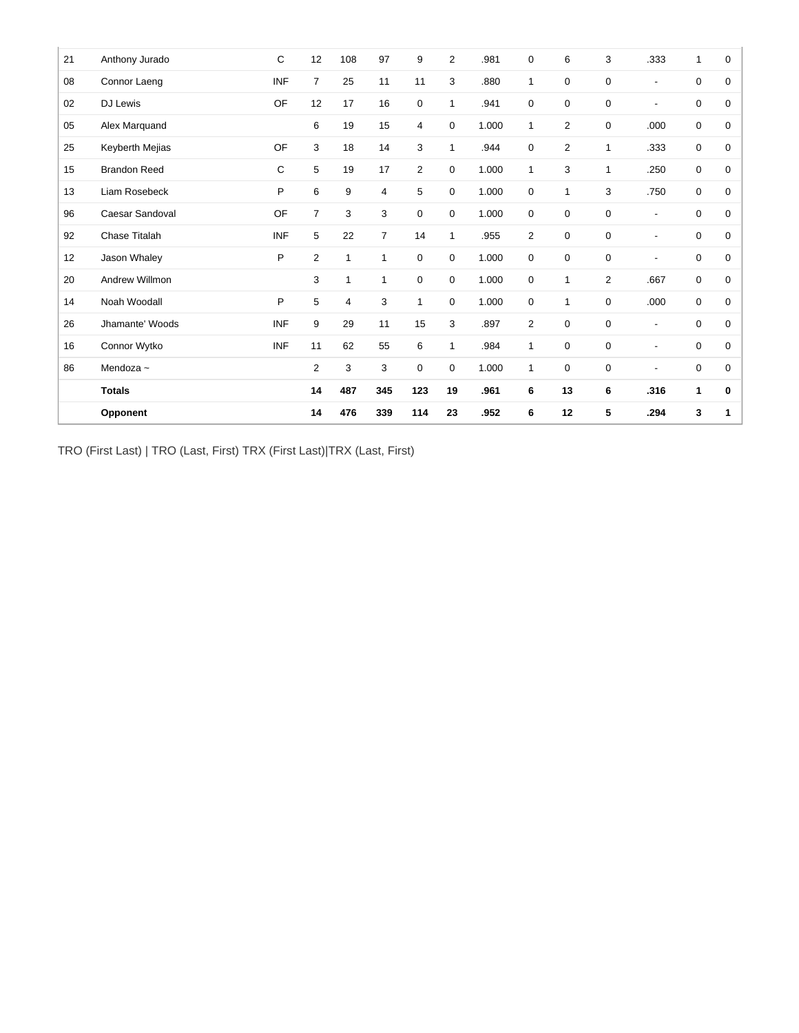|    | Opponent            |              | 14             | 476          | 339            | 114            | 23             | .952  | 6              | 12             | 5              | .294                     | 3            | 1           |
|----|---------------------|--------------|----------------|--------------|----------------|----------------|----------------|-------|----------------|----------------|----------------|--------------------------|--------------|-------------|
|    | <b>Totals</b>       |              | 14             | 487          | 345            | 123            | 19             | .961  | 6              | 13             | 6              | .316                     | 1            | 0           |
| 86 | Mendoza ~           |              | $\overline{2}$ | 3            | 3              | 0              | 0              | 1.000 | $\mathbf{1}$   | $\mathbf 0$    | $\mathbf 0$    | $\overline{\phantom{a}}$ | 0            | $\mathbf 0$ |
| 16 | Connor Wytko        | <b>INF</b>   | 11             | 62           | 55             | 6              | $\mathbf{1}$   | .984  | $\mathbf{1}$   | 0              | $\mathbf 0$    | $\overline{\phantom{a}}$ | 0            | $\mathbf 0$ |
| 26 | Jhamante' Woods     | <b>INF</b>   | 9              | 29           | 11             | 15             | 3              | .897  | $\overline{2}$ | $\mathbf 0$    | $\mathbf 0$    | $\overline{\phantom{a}}$ | $\mathbf 0$  | $\mathbf 0$ |
| 14 | Noah Woodall        | P            | $\,$ 5 $\,$    | 4            | 3              | $\mathbf{1}$   | 0              | 1.000 | $\mathbf 0$    | 1              | $\mathbf 0$    | .000                     | $\mathbf 0$  | $\mathbf 0$ |
| 20 | Andrew Willmon      |              | 3              | $\mathbf{1}$ | 1              | $\mathbf 0$    | 0              | 1.000 | $\mathbf 0$    | 1              | $\overline{2}$ | .667                     | $\mathbf 0$  | $\mathbf 0$ |
| 12 | Jason Whaley        | P            | $\overline{2}$ | $\mathbf{1}$ | 1              | $\mathbf 0$    | 0              | 1.000 | $\mathbf 0$    | $\mathbf 0$    | $\mathbf 0$    | $\overline{\phantom{a}}$ | $\mathbf 0$  | $\mathbf 0$ |
| 92 | Chase Titalah       | <b>INF</b>   | 5              | 22           | $\overline{7}$ | 14             | $\mathbf{1}$   | .955  | $\overline{2}$ | $\mathbf 0$    | $\pmb{0}$      | $\overline{\phantom{a}}$ | 0            | $\mathbf 0$ |
| 96 | Caesar Sandoval     | OF           | $\overline{7}$ | 3            | 3              | 0              | 0              | 1.000 | 0              | $\mathbf 0$    | $\mathbf 0$    | $\overline{\phantom{a}}$ | 0            | 0           |
| 13 | Liam Rosebeck       | P            | 6              | 9            | 4              | 5              | 0              | 1.000 | 0              | 1              | 3              | .750                     | $\mathbf 0$  | 0           |
| 15 | <b>Brandon Reed</b> | $\mathsf{C}$ | 5              | 19           | 17             | $\overline{2}$ | 0              | 1.000 | $\mathbf{1}$   | 3              | 1              | .250                     | $\mathbf 0$  | $\mathbf 0$ |
| 25 | Keyberth Mejias     | OF           | 3              | 18           | 14             | 3              | $\mathbf{1}$   | .944  | $\mathbf 0$    | $\overline{2}$ | $\mathbf{1}$   | .333                     | $\mathbf 0$  | $\mathbf 0$ |
| 05 | Alex Marquand       |              | 6              | 19           | 15             | 4              | 0              | 1.000 | $\mathbf{1}$   | $\overline{2}$ | $\mathbf 0$    | .000                     | $\mathbf 0$  | $\mathbf 0$ |
| 02 | <b>DJ Lewis</b>     | OF           | 12             | 17           | 16             | 0              | $\mathbf{1}$   | .941  | $\mathbf 0$    | $\mathbf 0$    | $\mathbf 0$    | $\overline{\phantom{a}}$ | $\mathbf 0$  | $\mathbf 0$ |
| 08 | Connor Laeng        | <b>INF</b>   | $\overline{7}$ | 25           | 11             | 11             | 3              | .880  | $\mathbf{1}$   | $\mathbf 0$    | $\mathbf 0$    | $\overline{\phantom{a}}$ | $\mathbf 0$  | $\mathbf 0$ |
| 21 | Anthony Jurado      | C            | 12             | 108          | 97             | 9              | $\overline{2}$ | .981  | $\mathbf 0$    | 6              | 3              | .333                     | $\mathbf{1}$ | 0           |

TRO (First Last) | TRO (Last, First) TRX (First Last)|TRX (Last, First)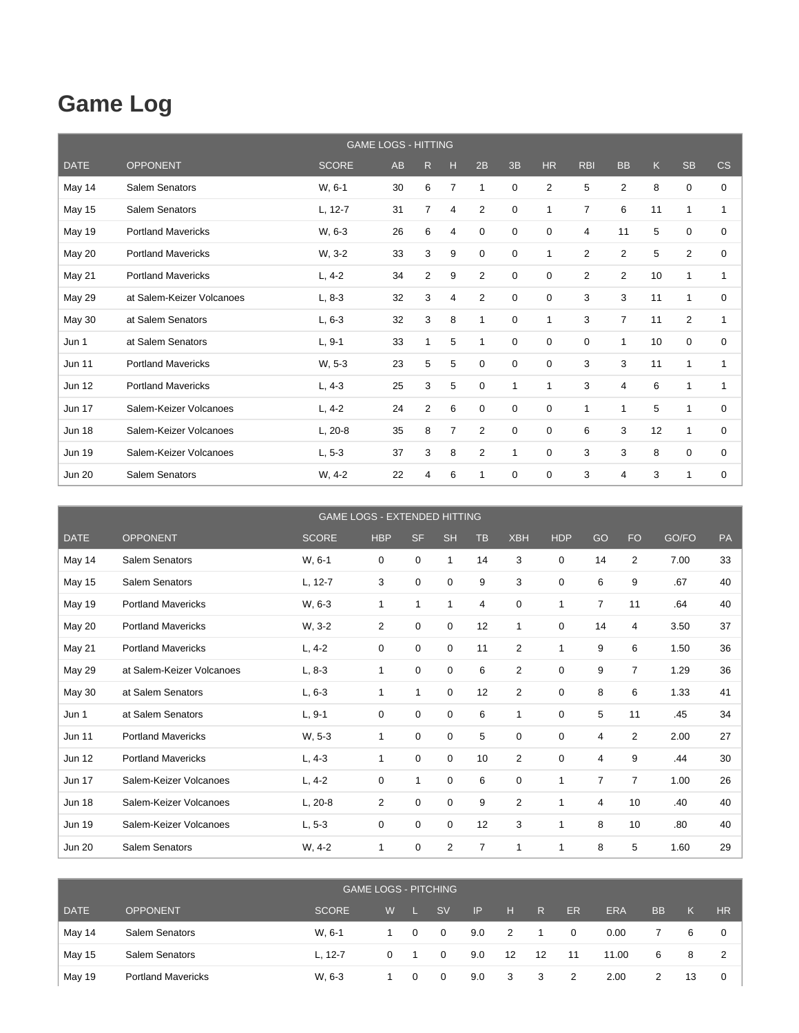## **Game Log**

|               |                           | <b>GAME LOGS - HITTING</b> |    |                |                |             |             |                |                |                |              |                |                |
|---------------|---------------------------|----------------------------|----|----------------|----------------|-------------|-------------|----------------|----------------|----------------|--------------|----------------|----------------|
| <b>DATE</b>   | <b>OPPONENT</b>           | <b>SCORE</b>               | AB | R              | н              | 2B          | 3B          | <b>HR</b>      | <b>RBI</b>     | <b>BB</b>      | $\mathsf{K}$ | <b>SB</b>      | CS             |
| May 14        | Salem Senators            | W, 6-1                     | 30 | 6              | $\overline{7}$ | 1           | $\mathbf 0$ | $\overline{2}$ | 5              | $\overline{2}$ | 8            | 0              | 0              |
| May 15        | Salem Senators            | $L, 12-7$                  | 31 | 7              | 4              | 2           | 0           | 1              | 7              | 6              | 11           | 1              | 1              |
| <b>May 19</b> | <b>Portland Mavericks</b> | W, 6-3                     | 26 | 6              | 4              | $\mathbf 0$ | 0           | 0              | 4              | 11             | 5            | 0              | $\Omega$       |
| May 20        | <b>Portland Mavericks</b> | W, 3-2                     | 33 | 3              | 9              | $\mathbf 0$ | $\mathbf 0$ | 1              | $\overline{2}$ | $\overline{2}$ | 5            | $\overline{2}$ | $\mathbf 0$    |
| May 21        | <b>Portland Mavericks</b> | $L, 4-2$                   | 34 | $\overline{2}$ | 9              | 2           | 0           | $\mathbf 0$    | $\overline{2}$ | $\overline{2}$ | 10           | 1              | 1              |
| <b>May 29</b> | at Salem-Keizer Volcanoes | $L, 8-3$                   | 32 | 3              | 4              | 2           | $\mathbf 0$ | 0              | 3              | 3              | 11           | 1              | 0              |
| May 30        | at Salem Senators         | $L, 6-3$                   | 32 | 3              | 8              | 1           | $\mathbf 0$ | 1              | 3              | $\overline{7}$ | 11           | $\overline{2}$ | $\mathbf{1}$   |
| Jun 1         | at Salem Senators         | $L, 9-1$                   | 33 | 1              | 5              | 1           | 0           | 0              | 0              | 1              | 10           | 0              | 0              |
| <b>Jun 11</b> | <b>Portland Mavericks</b> | W, 5-3                     | 23 | 5              | 5              | 0           | 0           | 0              | 3              | 3              | 11           | 1              | $\mathbf{1}$   |
| <b>Jun 12</b> | <b>Portland Mavericks</b> | $L, 4-3$                   | 25 | 3              | 5              | $\mathbf 0$ | 1           | 1              | 3              | 4              | 6            | 1              | $\overline{1}$ |
| <b>Jun 17</b> | Salem-Keizer Volcanoes    | $L, 4-2$                   | 24 | $\overline{2}$ | 6              | $\mathbf 0$ | 0           | 0              | 1              | 1              | 5            | 1              | 0              |
| <b>Jun 18</b> | Salem-Keizer Volcanoes    | $L, 20-8$                  | 35 | 8              | $\overline{7}$ | 2           | 0           | 0              | 6              | 3              | 12           | 1              | 0              |
| <b>Jun 19</b> | Salem-Keizer Volcanoes    | $L, 5-3$                   | 37 | 3              | 8              | 2           | 1           | $\Omega$       | 3              | 3              | 8            | $\Omega$       | $\Omega$       |
| <b>Jun 20</b> | Salem Senators            | W, 4-2                     | 22 | 4              | 6              | 1           | 0           | $\mathbf 0$    | 3              | 4              | 3            | 1              | 0              |

|               |                           | <b>GAME LOGS - EXTENDED HITTING</b> |                |             |                |           |                |              |                |                |       |    |
|---------------|---------------------------|-------------------------------------|----------------|-------------|----------------|-----------|----------------|--------------|----------------|----------------|-------|----|
| <b>DATE</b>   | <b>OPPONENT</b>           | <b>SCORE</b>                        | <b>HBP</b>     | <b>SF</b>   | <b>SH</b>      | <b>TB</b> | <b>XBH</b>     | <b>HDP</b>   | GO             | <b>FO</b>      | GO/FO | PA |
| May 14        | <b>Salem Senators</b>     | W, 6-1                              | 0              | $\mathbf 0$ | $\mathbf 1$    | 14        | 3              | 0            | 14             | $\overline{2}$ | 7.00  | 33 |
| <b>May 15</b> | Salem Senators            | L, 12-7                             | 3              | $\mathbf 0$ | 0              | 9         | 3              | 0            | 6              | 9              | .67   | 40 |
| <b>May 19</b> | <b>Portland Mavericks</b> | W, 6-3                              | 1              | 1           | 1              | 4         | $\mathbf 0$    | 1            | $\overline{7}$ | 11             | .64   | 40 |
| May 20        | <b>Portland Mavericks</b> | W, 3-2                              | 2              | 0           | 0              | 12        | 1              | 0            | 14             | 4              | 3.50  | 37 |
| May 21        | <b>Portland Mavericks</b> | $L, 4-2$                            | 0              | $\mathbf 0$ | $\mathbf 0$    | 11        | $\overline{2}$ | 1            | 9              | 6              | 1.50  | 36 |
| May 29        | at Salem-Keizer Volcanoes | $L, 8-3$                            | 1              | $\mathbf 0$ | 0              | 6         | 2              | $\Omega$     | 9              | $\overline{7}$ | 1.29  | 36 |
| May 30        | at Salem Senators         | $L, 6-3$                            | 1              | 1           | 0              | 12        | $\overline{2}$ | 0            | 8              | 6              | 1.33  | 41 |
| Jun 1         | at Salem Senators         | $L, 9-1$                            | 0              | $\mathbf 0$ | 0              | 6         | 1              | 0            | 5              | 11             | .45   | 34 |
| <b>Jun 11</b> | <b>Portland Mavericks</b> | W, 5-3                              | 1              | $\Omega$    | 0              | 5         | $\mathbf 0$    | $\Omega$     | 4              | $\overline{2}$ | 2.00  | 27 |
| <b>Jun 12</b> | <b>Portland Mavericks</b> | $L, 4-3$                            | 1              | $\mathbf 0$ | 0              | 10        | $\overline{2}$ | 0            | 4              | 9              | .44   | 30 |
| <b>Jun 17</b> | Salem-Keizer Volcanoes    | $L, 4-2$                            | $\mathbf 0$    | 1           | $\mathbf 0$    | 6         | $\mathbf 0$    | 1            | $\overline{7}$ | $\overline{7}$ | 1.00  | 26 |
| <b>Jun 18</b> | Salem-Keizer Volcanoes    | $L, 20-8$                           | $\overline{2}$ | $\mathbf 0$ | 0              | 9         | $\overline{2}$ | 1            | 4              | 10             | .40   | 40 |
| <b>Jun 19</b> | Salem-Keizer Volcanoes    | $L, 5-3$                            | 0              | $\mathbf 0$ | 0              | 12        | 3              | $\mathbf{1}$ | 8              | 10             | .80   | 40 |
| <b>Jun 20</b> | Salem Senators            | W, 4-2                              | 1              | 0           | $\overline{2}$ | 7         | 1              |              | 8              | 5              | 1.60  | 29 |

|             |                           |              |   |          | <b>GAME LOGS - PITCHING</b> |     |    |              |              |            |           |    |           |
|-------------|---------------------------|--------------|---|----------|-----------------------------|-----|----|--------------|--------------|------------|-----------|----|-----------|
| <b>DATE</b> | <b>OPPONENT</b>           | <b>SCORE</b> | W |          | <b>SV</b>                   | IP  | H  | $\mathsf{R}$ | ER           | <b>ERA</b> | <b>BB</b> | Κ  | <b>HR</b> |
| May 14      | Salem Senators            | W. 6-1       |   | $\Omega$ | $\overline{0}$              | 9.0 | 2  |              | $\mathbf{0}$ | 0.00       |           | 6  |           |
| May 15      | <b>Salem Senators</b>     | $L. 12 - 7$  | 0 |          | 0                           | 9.0 | 12 | 12           | 11           | 11.00      | 6         | 8  |           |
| May 19      | <b>Portland Mavericks</b> | W, 6-3       |   | $\Omega$ | $\Omega$                    | 9.0 | 3  | $_{3}$       | 2            | 2.00       | 2         | 13 | 0         |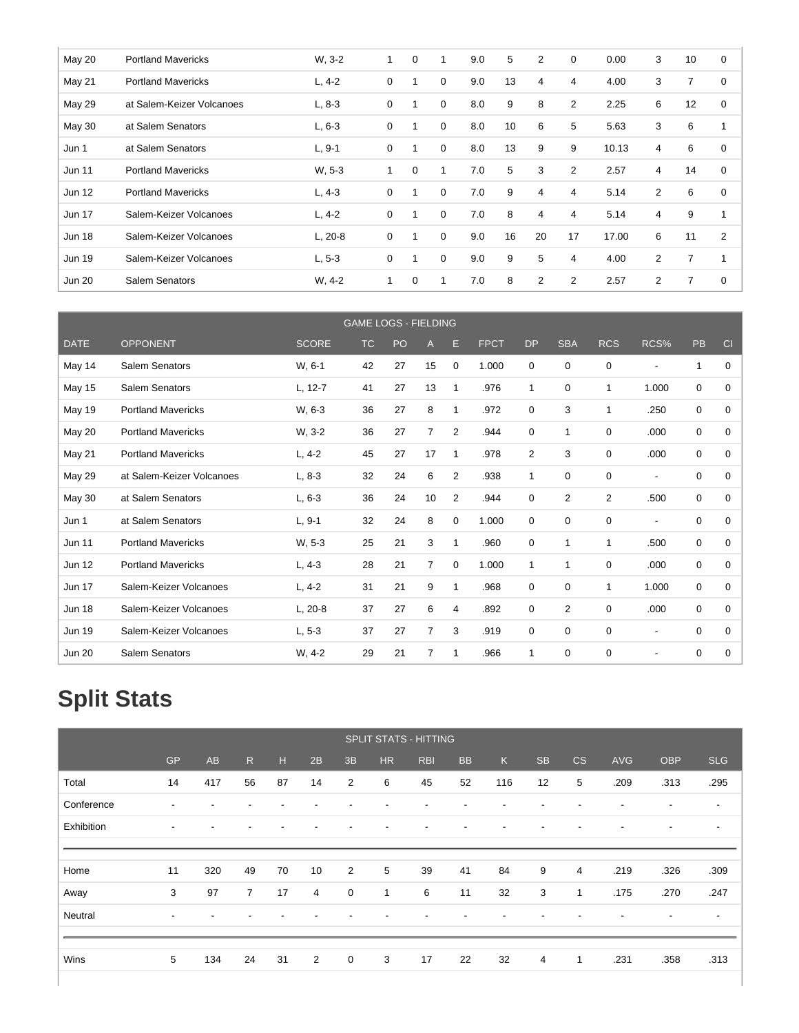| <b>May 20</b> | <b>Portland Mavericks</b> | W, 3-2    | $\mathbf{1}$ | 0 | 1        | 9.0 | 5  | $\overline{2}$ | 0              | 0.00  | 3              | 10 | 0           |
|---------------|---------------------------|-----------|--------------|---|----------|-----|----|----------------|----------------|-------|----------------|----|-------------|
| May 21        | <b>Portland Mavericks</b> | $L, 4-2$  | 0            |   | 0        | 9.0 | 13 | 4              | 4              | 4.00  | 3              | 7  | 0           |
| <b>May 29</b> | at Salem-Keizer Volcanoes | $L, 8-3$  | 0            |   | 0        | 8.0 | 9  | 8              | $\overline{2}$ | 2.25  | 6              | 12 | 0           |
| May 30        | at Salem Senators         | $L, 6-3$  | 0            |   | 0        | 8.0 | 10 | 6              | 5              | 5.63  | 3              | 6  | 1           |
| Jun 1         | at Salem Senators         | $L, 9-1$  | 0            |   | 0        | 8.0 | 13 | 9              | 9              | 10.13 | 4              | 6  | $\mathbf 0$ |
| <b>Jun 11</b> | <b>Portland Mavericks</b> | W. 5-3    | 1            | 0 | 1        | 7.0 | 5  | 3              | $\overline{2}$ | 2.57  | $\overline{4}$ | 14 | 0           |
| <b>Jun 12</b> | <b>Portland Mavericks</b> | $L, 4-3$  | 0            |   | 0        | 7.0 | 9  | $\overline{4}$ | 4              | 5.14  | $\overline{2}$ | 6  | 0           |
| <b>Jun 17</b> | Salem-Keizer Volcanoes    | $L, 4-2$  | $\mathbf 0$  |   | $\Omega$ | 7.0 | 8  | 4              | 4              | 5.14  | $\overline{4}$ | 9  | 1           |
| <b>Jun 18</b> | Salem-Keizer Volcanoes    | $L, 20-8$ | $\mathbf 0$  |   | $\Omega$ | 9.0 | 16 | 20             | 17             | 17.00 | 6              | 11 | 2           |
| <b>Jun 19</b> | Salem-Keizer Volcanoes    | $L, 5-3$  | 0            |   | 0        | 9.0 | 9  | 5              | 4              | 4.00  | 2              | 7  | 1           |
| <b>Jun 20</b> | Salem Senators            | W. 4-2    | $\mathbf{1}$ | 0 | 1        | 7.0 | 8  | $\overline{2}$ | $\overline{2}$ | 2.57  | $\overline{2}$ | 7  | 0           |

|               |                           |              | <b>GAME LOGS - FIELDING</b> |    |                |                |             |              |                |                |                          |             |          |
|---------------|---------------------------|--------------|-----------------------------|----|----------------|----------------|-------------|--------------|----------------|----------------|--------------------------|-------------|----------|
| <b>DATE</b>   | <b>OPPONENT</b>           | <b>SCORE</b> | <b>TC</b>                   | PO | $\overline{A}$ | E              | <b>FPCT</b> | <b>DP</b>    | <b>SBA</b>     | <b>RCS</b>     | RCS%                     | <b>PB</b>   | CI       |
| May 14        | Salem Senators            | W, 6-1       | 42                          | 27 | 15             | 0              | 1.000       | 0            | 0              | 0              | $\overline{a}$           | 1           | 0        |
| <b>May 15</b> | Salem Senators            | L, 12-7      | 41                          | 27 | 13             | $\mathbf{1}$   | .976        | 1            | $\mathbf 0$    | 1              | 1.000                    | 0           | 0        |
| <b>May 19</b> | <b>Portland Mavericks</b> | W. 6-3       | 36                          | 27 | 8              | 1              | .972        | 0            | 3              | 1              | .250                     | 0           | 0        |
| May 20        | <b>Portland Mavericks</b> | W, 3-2       | 36                          | 27 | 7              | $\overline{2}$ | .944        | 0            | 1              | 0              | .000                     | 0           | 0        |
| <b>May 21</b> | <b>Portland Mavericks</b> | $L, 4-2$     | 45                          | 27 | 17             | $\mathbf{1}$   | .978        | 2            | 3              | 0              | .000                     | 0           | $\Omega$ |
| <b>May 29</b> | at Salem-Keizer Volcanoes | $L, 8-3$     | 32                          | 24 | 6              | $\overline{2}$ | .938        | $\mathbf{1}$ | $\mathbf 0$    | 0              | $\blacksquare$           | 0           | $\Omega$ |
| May 30        | at Salem Senators         | $L, 6-3$     | 36                          | 24 | 10             | $\overline{2}$ | .944        | $\mathbf 0$  | $\overline{2}$ | $\overline{2}$ | .500                     | 0           | 0        |
| Jun 1         | at Salem Senators         | $L, 9-1$     | 32                          | 24 | 8              | 0              | 1.000       | 0            | 0              | $\mathbf 0$    | $\overline{\phantom{a}}$ | 0           | $\Omega$ |
| <b>Jun 11</b> | <b>Portland Mavericks</b> | W, 5-3       | 25                          | 21 | 3              | $\mathbf{1}$   | .960        | $\mathbf 0$  | 1              | 1              | .500                     | 0           | $\Omega$ |
| <b>Jun 12</b> | <b>Portland Mavericks</b> | $L, 4-3$     | 28                          | 21 | $\overline{7}$ | 0              | 1.000       | $\mathbf{1}$ | 1              | 0              | .000                     | 0           | 0        |
| <b>Jun 17</b> | Salem-Keizer Volcanoes    | $L, 4-2$     | 31                          | 21 | 9              | 1              | .968        | 0            | 0              | 1              | 1.000                    | 0           | 0        |
| <b>Jun 18</b> | Salem-Keizer Volcanoes    | $L, 20-8$    | 37                          | 27 | 6              | $\overline{4}$ | .892        | $\mathbf 0$  | $\overline{2}$ | $\mathbf 0$    | .000                     | $\mathbf 0$ | $\Omega$ |
| <b>Jun 19</b> | Salem-Keizer Volcanoes    | $L, 5-3$     | 37                          | 27 | $\overline{7}$ | 3              | .919        | 0            | 0              | 0              | $\overline{\phantom{a}}$ | 0           | 0        |
| <b>Jun 20</b> | Salem Senators            | W, 4-2       | 29                          | 21 | 7              | 1              | .966        | 1            | $\mathbf 0$    | $\mathbf 0$    | $\overline{\phantom{a}}$ | 0           | 0        |

# **Split Stats**

|            |           |     |                |    |    |             |              | <b>SPLIT STATS - HITTING</b> |                          |                          |           |                          |                          |                          |                          |
|------------|-----------|-----|----------------|----|----|-------------|--------------|------------------------------|--------------------------|--------------------------|-----------|--------------------------|--------------------------|--------------------------|--------------------------|
|            | <b>GP</b> | AB  | R              | H. | 2B | 3B          | <b>HR</b>    | <b>RBI</b>                   | <b>BB</b>                | $\mathsf{K}$             | <b>SB</b> | CS                       | <b>AVG</b>               | OBP                      | <b>SLG</b>               |
| Total      | 14        | 417 | 56             | 87 | 14 | 2           | 6            | 45                           | 52                       | 116                      | 12        | 5                        | .209                     | .313                     | .295                     |
| Conference | ۰         | -   | -              |    |    |             |              | $\overline{\phantom{a}}$     | $\blacksquare$           | $\overline{\phantom{a}}$ |           | $\overline{\phantom{a}}$ | $\blacksquare$           | $\overline{\phantom{a}}$ | $\overline{\phantom{a}}$ |
| Exhibition | ۰         | -   | -              |    |    |             | -            | $\overline{\phantom{a}}$     | $\blacksquare$           | $\overline{\phantom{a}}$ | ٠         |                          | $\overline{\phantom{0}}$ | ٠                        | $\overline{\phantom{a}}$ |
|            |           |     |                |    |    |             |              |                              |                          |                          |           |                          |                          |                          |                          |
| Home       | 11        | 320 | 49             | 70 | 10 | 2           | 5            | 39                           | 41                       | 84                       | 9         | $\overline{4}$           | .219                     | .326                     | .309                     |
| Away       | 3         | 97  | $\overline{7}$ | 17 | 4  | $\mathbf 0$ | $\mathbf{1}$ | 6                            | 11                       | 32                       | 3         | $\mathbf{1}$             | .175                     | .270                     | .247                     |
| Neutral    | ۰         |     |                |    |    |             |              |                              | $\overline{\phantom{a}}$ | $\overline{\phantom{a}}$ |           |                          |                          | ٠                        | $\overline{\phantom{a}}$ |
|            |           |     |                |    |    |             |              |                              |                          |                          |           |                          |                          |                          |                          |
| Wins       | 5         | 134 | 24             | 31 | 2  | $\mathbf 0$ | 3            | 17                           | 22                       | 32                       | 4         | $\mathbf{1}$             | .231                     | .358                     | .313                     |
|            |           |     |                |    |    |             |              |                              |                          |                          |           |                          |                          |                          |                          |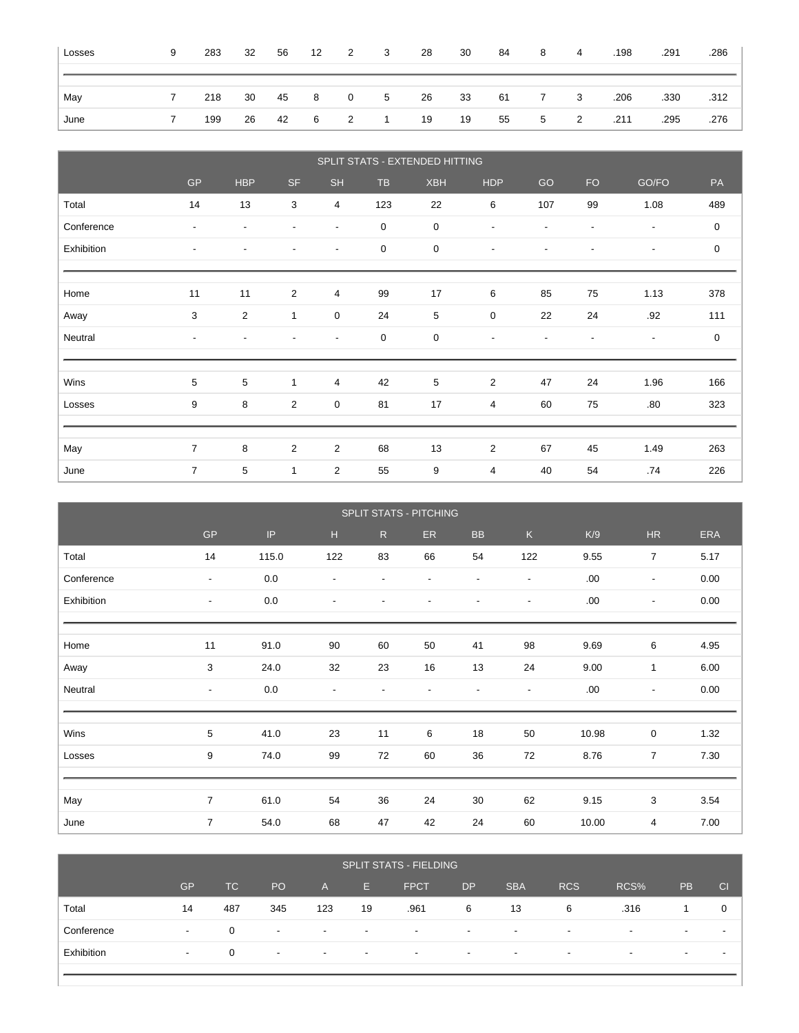| Losses | 9 | 283 | 32 | 56        | 12          | $\overline{2}$ | $\overline{\mathbf{3}}$ | 28 | 30 | 84     | 8 | $\overline{4}$          | .198 | .291 | .286 |
|--------|---|-----|----|-----------|-------------|----------------|-------------------------|----|----|--------|---|-------------------------|------|------|------|
|        |   |     |    |           |             |                |                         |    |    |        |   |                         |      |      |      |
| May    |   | 218 |    | 30  45  8 |             | $\overline{0}$ | 5 26                    |    | 33 | 61 7   |   | $\overline{\mathbf{3}}$ | .206 | .330 | .312 |
| June   |   | 199 |    |           | 26 42 6 2 1 |                |                         | 19 | 19 | 55 — 1 | 5 | $\overline{\mathbf{2}}$ | .211 | .295 | .276 |

|            | SPLIT STATS - EXTENDED HITTING |                          |                          |                          |             |             |                          |                          |                          |                          |             |
|------------|--------------------------------|--------------------------|--------------------------|--------------------------|-------------|-------------|--------------------------|--------------------------|--------------------------|--------------------------|-------------|
|            | <b>GP</b>                      | <b>HBP</b>               | <b>SF</b>                | <b>SH</b>                | <b>TB</b>   | <b>XBH</b>  | <b>HDP</b>               | GO                       | <b>FO</b>                | GO/FO                    | PA          |
| Total      | 14                             | 13                       | 3                        | 4                        | 123         | 22          | 6                        | 107                      | 99                       | 1.08                     | 489         |
| Conference | $\blacksquare$                 | $\overline{\phantom{a}}$ | $\blacksquare$           | $\overline{\phantom{a}}$ | $\mathbf 0$ | $\mathbf 0$ | $\overline{\phantom{a}}$ | $\overline{\phantom{a}}$ | $\overline{\phantom{a}}$ | $\overline{\phantom{a}}$ | 0           |
| Exhibition | $\sim$                         | $\overline{\phantom{a}}$ | $\overline{\phantom{a}}$ | $\overline{\phantom{a}}$ | $\mathbf 0$ | $\mathbf 0$ | $\overline{\phantom{a}}$ | $\overline{\phantom{a}}$ | $\overline{\phantom{a}}$ | $\overline{\phantom{a}}$ | $\mathsf 0$ |
|            |                                |                          |                          |                          |             |             |                          |                          |                          |                          |             |
| Home       | 11                             | 11                       | $\overline{2}$           | 4                        | 99          | 17          | 6                        | 85                       | 75                       | 1.13                     | 378         |
| Away       | 3                              | $\overline{2}$           | $\mathbf{1}$             | $\pmb{0}$                | 24          | 5           | $\pmb{0}$                | 22                       | 24                       | .92                      | 111         |
| Neutral    | $\sim$                         | $\blacksquare$           | $\overline{\phantom{a}}$ | $\overline{\phantom{a}}$ | $\mathbf 0$ | $\mathbf 0$ | $\overline{\phantom{a}}$ | $\blacksquare$           | $\blacksquare$           | $\overline{\phantom{a}}$ | $\mathbf 0$ |
|            |                                |                          |                          |                          |             |             |                          |                          |                          |                          |             |
| Wins       | 5                              | 5                        | $\mathbf{1}$             | 4                        | 42          | 5           | 2                        | 47                       | 24                       | 1.96                     | 166         |
| Losses     | 9                              | 8                        | $\overline{2}$           | 0                        | 81          | 17          | $\overline{4}$           | 60                       | 75                       | .80                      | 323         |
|            |                                |                          |                          |                          |             |             |                          |                          |                          |                          |             |
| May        | $\overline{7}$                 | 8                        | $\overline{2}$           | $\overline{c}$           | 68          | 13          | $\overline{2}$           | 67                       | 45                       | 1.49                     | 263         |
| June       | $\overline{7}$                 | 5                        | $\mathbf{1}$             | $\overline{c}$           | 55          | 9           | 4                        | 40                       | 54                       | .74                      | 226         |

|            | SPLIT STATS - PITCHING   |         |                          |                          |                          |                          |                          |       |                          |      |
|------------|--------------------------|---------|--------------------------|--------------------------|--------------------------|--------------------------|--------------------------|-------|--------------------------|------|
|            | <b>GP</b>                | IP      | H                        | R                        | ER.                      | ${\sf BB}$               | $\mathsf{K}$             | K/9   | $\sf HR$                 | ERA  |
| Total      | 14                       | 115.0   | 122                      | 83                       | 66                       | 54                       | 122                      | 9.55  | $\overline{7}$           | 5.17 |
| Conference | $\overline{\phantom{a}}$ | $0.0\,$ | $\overline{\phantom{a}}$ | $\overline{\phantom{a}}$ | $\overline{\phantom{a}}$ | $\overline{\phantom{a}}$ | $\overline{\phantom{a}}$ | .00   | $\overline{\phantom{a}}$ | 0.00 |
| Exhibition | $\overline{\phantom{a}}$ | 0.0     | $\overline{\phantom{a}}$ | $\overline{\phantom{a}}$ | $\overline{\phantom{a}}$ | $\overline{\phantom{a}}$ | $\overline{\phantom{a}}$ | .00   | $\overline{\phantom{a}}$ | 0.00 |
|            |                          |         |                          |                          |                          |                          |                          |       |                          |      |
| Home       | 11                       | 91.0    | 90                       | 60                       | 50                       | 41                       | 98                       | 9.69  | 6                        | 4.95 |
| Away       | 3                        | 24.0    | 32                       | 23                       | 16                       | 13                       | 24                       | 9.00  | $\mathbf{1}$             | 6.00 |
| Neutral    | $\overline{\phantom{a}}$ | 0.0     | $\blacksquare$           | $\overline{\phantom{a}}$ | $\overline{\phantom{a}}$ |                          | $\blacksquare$           | .00.  | $\overline{\phantom{a}}$ | 0.00 |
|            |                          |         |                          |                          |                          |                          |                          |       |                          |      |
| Wins       | 5                        | 41.0    | 23                       | 11                       | 6                        | 18                       | 50                       | 10.98 | $\mathbf 0$              | 1.32 |
| Losses     | 9                        | 74.0    | 99                       | 72                       | 60                       | 36                       | 72                       | 8.76  | $\overline{7}$           | 7.30 |
|            |                          |         |                          |                          |                          |                          |                          |       |                          |      |
| May        | $\overline{7}$           | 61.0    | 54                       | 36                       | 24                       | 30                       | 62                       | 9.15  | 3                        | 3.54 |
| June       | $\overline{7}$           | 54.0    | 68                       | 47                       | 42                       | 24                       | 60                       | 10.00 | $\overline{4}$           | 7.00 |

| <b>SPLIT STATS - FIELDING</b> |           |     |                          |                          |                          |                          |                          |                          |                          |                          |                          |    |
|-------------------------------|-----------|-----|--------------------------|--------------------------|--------------------------|--------------------------|--------------------------|--------------------------|--------------------------|--------------------------|--------------------------|----|
|                               | <b>GP</b> | TC  | PO <sub>1</sub>          | A.                       | E.                       | <b>FPCT</b>              | <b>DP</b>                | <b>SBA</b>               | <b>RCS</b>               | RCS%                     | <b>PB</b>                | CI |
| Total                         | 14        | 487 | 345                      | 123                      | 19                       | .961                     | 6                        | 13                       | -6                       | .316                     |                          |    |
| Conference                    |           | 0   | $\overline{\phantom{a}}$ | $\overline{\phantom{0}}$ | $\overline{\phantom{0}}$ | $\overline{\phantom{0}}$ | $\overline{\phantom{a}}$ | $\overline{\phantom{a}}$ | $\overline{\phantom{a}}$ | $\overline{\phantom{0}}$ | $\overline{\phantom{0}}$ |    |
| Exhibition                    |           | 0   | $\overline{\phantom{0}}$ | $\overline{\phantom{0}}$ | $\overline{\phantom{0}}$ | $\overline{\phantom{0}}$ | $\overline{\phantom{a}}$ | $\overline{\phantom{0}}$ | $\overline{\phantom{0}}$ | $\overline{\phantom{0}}$ | $\overline{\phantom{0}}$ |    |
|                               |           |     |                          |                          |                          |                          |                          |                          |                          |                          |                          |    |